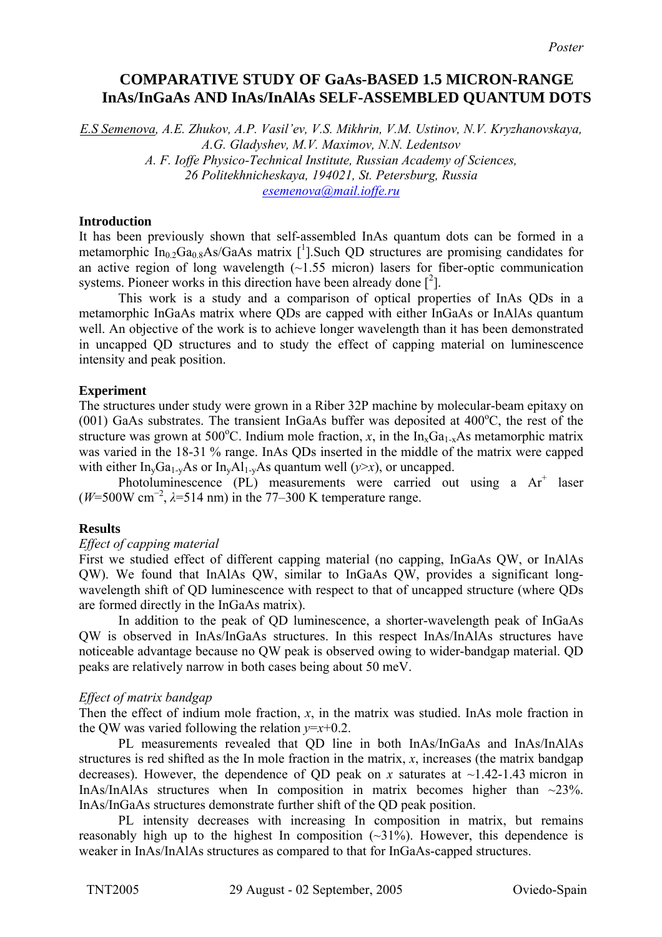# **COMPARATIVE STUDY OF GaAs-BASED 1.5 MICRON-RANGE InAs/InGaAs AND InAs/InAlAs SELF-ASSEMBLED QUANTUM DOTS**

*E.S Semenova, A.E. Zhukov, A.P. Vasil'ev, V.S. Mikhrin, V.M. Ustinov, N.V. Kryzhanovskaya, A.G. Gladyshev, M.V. Maximov, N.N. Ledentsov A. F. Ioffe Physico-Technical Institute, Russian Academy of Sciences, 26 Politekhnicheskaya, 194021, St. Petersburg, Russia [esemenova@mail.ioffe.ru](mailto:Contact@E-mail)*

## **Introduction**

It has been previously shown that self-assembled InAs quantum dots can be formed in a metamorphic  $In_{0.2}Ga_{0.8}As/GaAs$  matrix [<sup>1</sup>[\]](#page-1-0). Such QD structures are promising candidates for an active region of long wavelength  $(-1.55 \text{ micron})$  lasers for fiber-optic communication systems. Pioneer works in this direction have been already done  $\lbrack^{2} \rbrack$  $\lbrack^{2} \rbrack$  $\lbrack^{2} \rbrack$ .

This work is a study and a comparison of optical properties of InAs QDs in a metamorphic InGaAs matrix where QDs are capped with either InGaAs or InAlAs quantum well. An objective of the work is to achieve longer wavelength than it has been demonstrated in uncapped QD structures and to study the effect of capping material on luminescence intensity and peak position.

## **Experiment**

The structures under study were grown in a Riber 32P machine by molecular-beam epitaxy on (001) GaAs substrates. The transient InGaAs buffer was deposited at  $400^{\circ}$ C, the rest of the structure was grown at 500°C. Indium mole fraction, *x*, in the  $In_xGa_{1-x}As$  metamorphic matrix was varied in the 18-31 % range. InAs QDs inserted in the middle of the matrix were capped with either  $In_vGa_{1-v}As$  or  $In_vAl_{1-v}As$  quantum well ( $v \ge x$ ), or uncapped.

Photoluminescence (PL) measurements were carried out using a Ar<sup>+</sup> laser ( $W=500W$  cm<sup>-2</sup>,  $\lambda=514$  nm) in the 77–300 K temperature range.

#### **Results**

#### *Effect of capping material*

First we studied effect of different capping material (no capping, InGaAs QW, or InAlAs QW). We found that InAlAs QW, similar to InGaAs QW, provides a significant longwavelength shift of QD luminescence with respect to that of uncapped structure (where QDs are formed directly in the InGaAs matrix).

In addition to the peak of QD luminescence, a shorter-wavelength peak of InGaAs QW is observed in InAs/InGaAs structures. In this respect InAs/InAlAs structures have noticeable advantage because no QW peak is observed owing to wider-bandgap material. QD peaks are relatively narrow in both cases being about 50 meV.

#### *Effect of matrix bandgap*

Then the effect of indium mole fraction,  $x$ , in the matrix was studied. InAs mole fraction in the OW was varied following the relation  $v=x+0.2$ .

PL measurements revealed that QD line in both InAs/InGaAs and InAs/InAlAs structures is red shifted as the In mole fraction in the matrix, *x*, increases (the matrix bandgap decreases). However, the dependence of OD peak on *x* saturates at  $\sim$ 1.42-1.43 micron in InAs/InAlAs structures when In composition in matrix becomes higher than  $\sim$ 23%. InAs/InGaAs structures demonstrate further shift of the QD peak position.

PL intensity decreases with increasing In composition in matrix, but remains reasonably high up to the highest In composition  $(\sim 31\%)$ . However, this dependence is weaker in InAs/InAlAs structures as compared to that for InGaAs-capped structures.